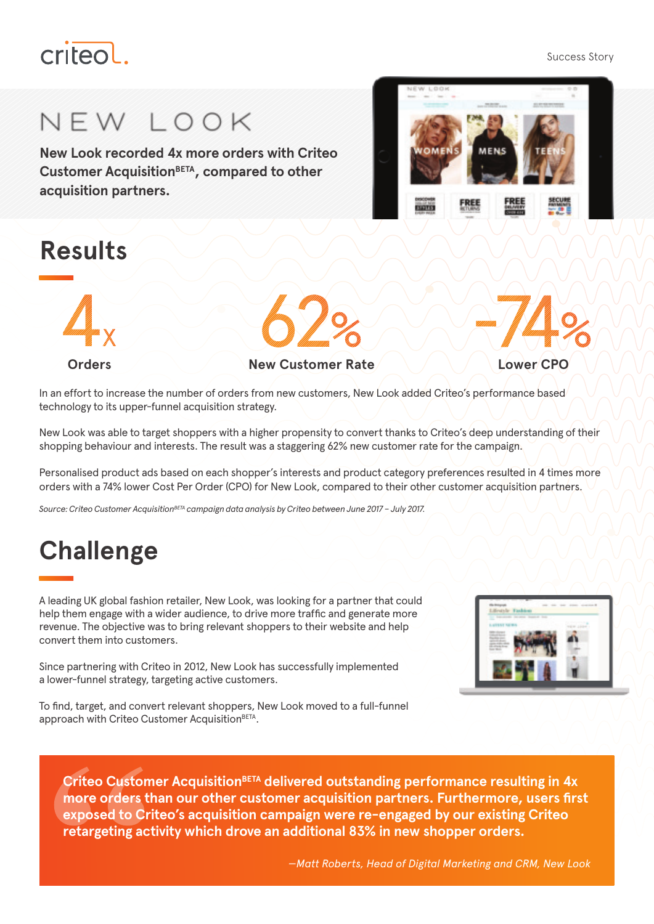# criteol

#### Success Story

# NEW LOOK

**New Look recorded 4x more orders with Criteo Customer AcquisitionBETA, compared to other acquisition partners.** 

## **Results**



#### **Orders New Customer Rate New Customer Rate**

In an effort to increase the number of orders from new customers, New Look added Criteo's performance based technology to its upper-funnel acquisition strategy.

New Look was able to target shoppers with a higher propensity to convert thanks to Criteo's deep understanding of their shopping behaviour and interests. The result was a staggering 62% new customer rate for the campaign.

Personalised product ads based on each shopper's interests and product category preferences resulted in 4 times more orders with a 74% lower Cost Per Order (CPO) for New Look, compared to their other customer acquisition partners.

*Source: Criteo Customer AcquisitionBETA campaign data analysis by Criteo between June 2017 – July 2017.*

# **Challenge**

A leading UK global fashion retailer, New Look, was looking for a partner that could help them engage with a wider audience, to drive more traffic and generate more revenue. The objective was to bring relevant shoppers to their website and help convert them into customers.

a lower-funnel strategy, targeting active customers. To find, target, and convert relevant shoppers, New Look moved to a full-funnel

Since partnering with Criteo in 2012, New Look has successfully implemented

approach with Criteo Customer Acquisition<sup>BETA</sup>.

**Criteo Customer AcquisitionBETA delivered outstanding performance resulting in 4x more orders than our other customer acquisition partners. Furthermore, users first exposed to Criteo's acquisition campaign were re-engaged by our existing Criteo retargeting activity which drove an additional 83% in new shopper orders.**